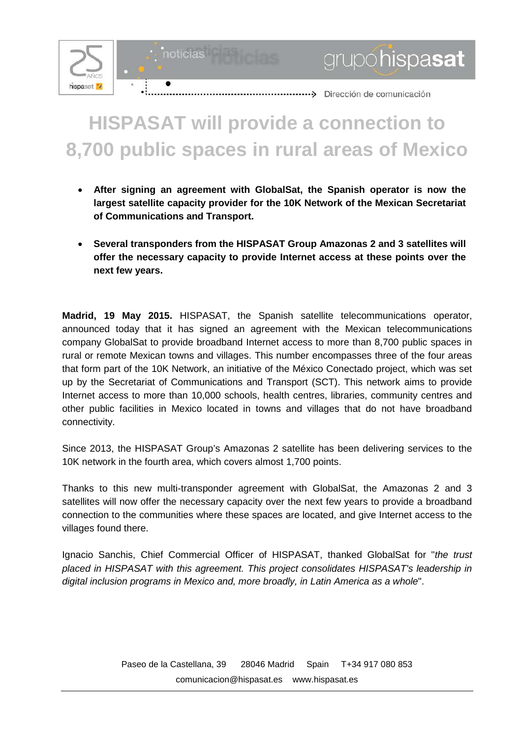

noticias

## **HISPASAT will provide a connection to 8,700 public spaces in rural areas of Mexico**

grupohispasat

- **After signing an agreement with GlobalSat, the Spanish operator is now the largest satellite capacity provider for the 10K Network of the Mexican Secretariat of Communications and Transport.**
- **Several transponders from the HISPASAT Group Amazonas 2 and 3 satellites will offer the necessary capacity to provide Internet access at these points over the next few years.**

**Madrid, 19 May 2015.** HISPASAT, the Spanish satellite telecommunications operator, announced today that it has signed an agreement with the Mexican telecommunications company GlobalSat to provide broadband Internet access to more than 8,700 public spaces in rural or remote Mexican towns and villages. This number encompasses three of the four areas that form part of the 10K Network, an initiative of the México Conectado project, which was set up by the Secretariat of Communications and Transport (SCT). This network aims to provide Internet access to more than 10,000 schools, health centres, libraries, community centres and other public facilities in Mexico located in towns and villages that do not have broadband connectivity.

Since 2013, the HISPASAT Group's Amazonas 2 satellite has been delivering services to the 10K network in the fourth area, which covers almost 1,700 points.

Thanks to this new multi-transponder agreement with GlobalSat, the Amazonas 2 and 3 satellites will now offer the necessary capacity over the next few years to provide a broadband connection to the communities where these spaces are located, and give Internet access to the villages found there.

Ignacio Sanchis, Chief Commercial Officer of HISPASAT, thanked GlobalSat for "*the trust placed in HISPASAT with this agreement. This project consolidates HISPASAT's leadership in digital inclusion programs in Mexico and, more broadly, in Latin America as a whole*".